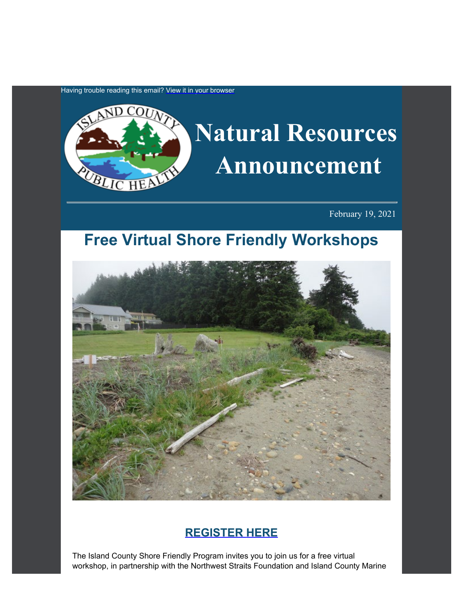Having trouble reading this email? [View it in your browser](https://content.govdelivery.com/accounts/WACOISLAND/bulletins/2c294b1)



February 19, 2021

# **Free Virtual Shore Friendly Workshops**



# **[REGISTER](https://nwstraitsfoundation.org/nearshore-restoration/shore-friendly-landowner-outreach/?utm_content=&utm_medium=email&utm_name=&utm_source=govdelivery&utm_term=) [HERE](https://nwstraitsfoundation.org/nearshore-restoration/shore-friendly-landowner-outreach/?utm_content=&utm_medium=email&utm_name=&utm_source=govdelivery&utm_term=)**

The Island County Shore Friendly Program invites you to join us for a free virtual workshop, in partnership with the Northwest Straits Foundation and Island County Marine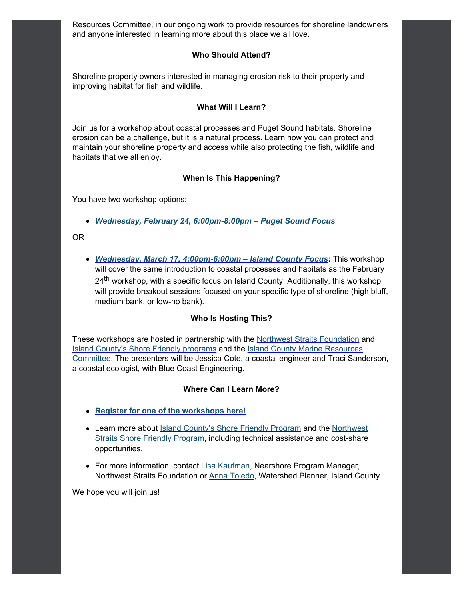Resources Committee, in our ongoing work to provide resources for shoreline landowners and anyone interested in learning more about this place we all love.

#### **Who Should Attend?**

Shoreline property owners interested in managing erosion risk to their property and improving habitat for fish and wildlife.

#### **What Will I Learn?**

Join us for a workshop about coastal processes and Puget Sound habitats. Shoreline erosion can be a challenge, but it is a natural process. Learn how you can protect and maintain your shoreline property and access while also protecting the fish, wildlife and habitats that we all enjoy.

#### **When Is This Happening?**

You have two workshop options:

- *[Wednesday, February 24, 6:00pm-8:00pm –](https://us02web.zoom.us/meeting/register/tZMtd-Cppj0qE91DIIpIXrwgc1IndLNCln_H?utm_content=&utm_medium=email&utm_name=&utm_source=govdelivery&utm_term=) [Puget Sound Focus](https://us02web.zoom.us/meeting/register/tZMtd-Cppj0qE91DIIpIXrwgc1IndLNCln_H?utm_content=&utm_medium=email&utm_name=&utm_source=govdelivery&utm_term=)*
- OR
	- *[Wednesday, March 17, 4:00pm-6:00pm –](https://us02web.zoom.us/meeting/register/tZcocu6vqDoiG93jobbNz-EdxBxXMFZKP2HD?utm_content=&utm_medium=email&utm_name=&utm_source=govdelivery&utm_term=) [Island County Focus](https://us02web.zoom.us/meeting/register/tZcocu6vqDoiG93jobbNz-EdxBxXMFZKP2HD?utm_content=&utm_medium=email&utm_name=&utm_source=govdelivery&utm_term=)***:** This workshop will cover the same introduction to coastal processes and habitats as the February  $24<sup>th</sup>$  workshop, with a specific focus on Island County. Additionally, this workshop will provide breakout sessions focused on your specific type of shoreline (high bluff, medium bank, or low-no bank).

#### **Who Is Hosting This?**

These workshops are hosted in partnership with the [Northwest](https://nwstraitsfoundation.org/?utm_content=&utm_medium=email&utm_name=&utm_source=govdelivery&utm_term=) [Straits Foundation](https://nwstraitsfoundation.org/?utm_content=&utm_medium=email&utm_name=&utm_source=govdelivery&utm_term=) and **[Island](https://www.islandcountymrc.org/?utm_content=&utm_medium=email&utm_name=&utm_source=govdelivery&utm_term=) [County's Shore Friendly programs](https://www.islandcountywa.gov/Health/DNR/Shore-Friendly/Pages/Home.aspx?utm_content=&utm_medium=email&utm_name=&utm_source=govdelivery&utm_term=) and the Island [County Marine Resources](https://www.islandcountymrc.org/?utm_content=&utm_medium=email&utm_name=&utm_source=govdelivery&utm_term=)** [Committee](https://www.islandcountymrc.org/?utm_content=&utm_medium=email&utm_name=&utm_source=govdelivery&utm_term=). The presenters will be Jessica Cote, a coastal engineer and Traci Sanderson, a coastal ecologist, with Blue Coast Engineering.

#### **Where Can I Learn More?**

- **[Register for one of the workshops here!](https://nwstraitsfoundation.org/nearshore-restoration/shore-friendly-landowner-outreach/?utm_content=&utm_medium=email&utm_name=&utm_source=govdelivery&utm_term=)**
- Learn more about *Island County's Shore Friendly Program* and the [Northwest](https://nwstraitsfoundation.org/nearshore-restoration/shore-friendly-landowner-outreach/?utm_content=&utm_medium=email&utm_name=&utm_source=govdelivery&utm_term=) [Straits Shore Friendly Program,](https://nwstraitsfoundation.org/nearshore-restoration/shore-friendly-landowner-outreach/?utm_content=&utm_medium=email&utm_name=&utm_source=govdelivery&utm_term=) including technical assistance and cost-share opportunities.
- For more information, contact [Lisa Kaufman](mailto:kaufman@nwstraitsfoundation.org), Nearshore Program Manager, Northwest Straits Foundation or [Anna Toledo](mailto:A.toledo@islandcountywa.gov), Watershed Planner, Island County

We hope you will join us!